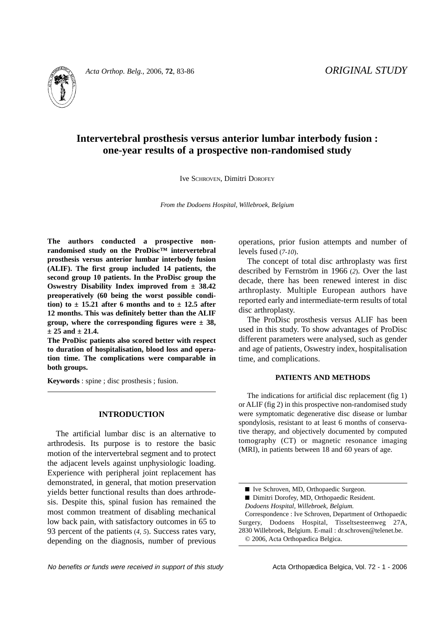

*Acta Orthop. Belg.*, 2006, **72**, 83-86 *ORIGINAL STUDY*

# **Intervertebral prosthesis versus anterior lumbar interbody fusion : one-year results of a prospective non-randomised study**

Ive SCHROVEN, Dimitri DOROFEY

*From the Dodoens Hospital, Willebroek, Belgium*

**The authors conducted a prospective nonrandomised study on the ProDisc™ intervertebral prosthesis versus anterior lumbar interbody fusion (ALIF). The first group included 14 patients, the second group 10 patients. In the ProDisc group the Oswestry Disability Index improved from ± 38.42 preoperatively (60 being the worst possible condi**tion) to  $\pm$  15.21 after 6 months and to  $\pm$  12.5 after **12 months. This was definitely better than the ALIF group, where the corresponding figures were ± 38, ± 25 and ± 21.4.**

**The ProDisc patients also scored better with respect to duration of hospitalisation, blood loss and operation time. The complications were comparable in both groups.**

**Keywords** : spine ; disc prosthesis ; fusion.

# **INTRODUCTION**

The artificial lumbar disc is an alternative to arthrodesis. Its purpose is to restore the basic motion of the intervertebral segment and to protect the adjacent levels against unphysiologic loading. Experience with peripheral joint replacement has demonstrated, in general, that motion preservation yields better functional results than does arthrodesis. Despite this, spinal fusion has remained the most common treatment of disabling mechanical low back pain, with satisfactory outcomes in 65 to 93 percent of the patients (*4, 5*). Success rates vary, depending on the diagnosis, number of previous operations, prior fusion attempts and number of levels fused (*7-10*).

The concept of total disc arthroplasty was first described by Fernström in 1966 (*2*). Over the last decade, there has been renewed interest in disc arthroplasty. Multiple European authors have reported early and intermediate-term results of total disc arthroplasty.

The ProDisc prosthesis versus ALIF has been used in this study. To show advantages of ProDisc different parameters were analysed, such as gender and age of patients, Oswestry index, hospitalisation time, and complications.

## **PATIENTS AND METHODS**

The indications for artificial disc replacement (fig 1) or ALIF (fig 2) in this prospective non-randomised study were symptomatic degenerative disc disease or lumbar spondylosis, resistant to at least 6 months of conservative therapy, and objectively documented by computed tomography (CT) or magnetic resonance imaging (MRI), in patients between 18 and 60 years of age.

- Dimitri Dorofey, MD, Orthopaedic Resident.
- *Dodoens Hospital, Willebroek, Belgium.*

Correspondence : Ive Schroven, Department of Orthopaedic Surgery, Dodoens Hospital, Tisseltsesteenweg 27A, 2830 Willebroek, Belgium. E-mail : dr.schroven@telenet.be. © 2006, Acta Orthopædica Belgica.

No benefits or funds were received in support of this study example Acta Orthopædica Belgica, Vol. 72 - 1 - 2006

<sup>■</sup> Ive Schroven, MD, Orthopaedic Surgeon.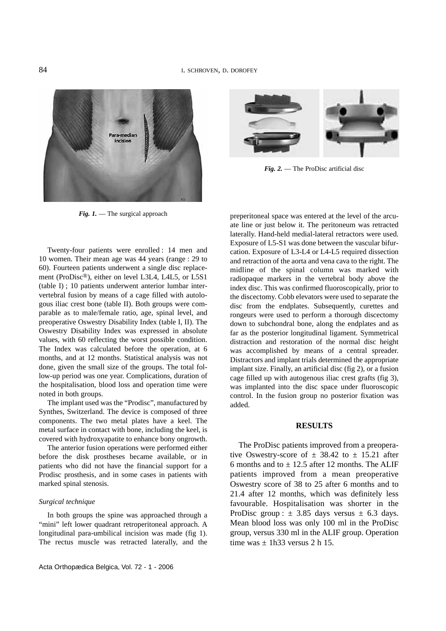

*Fig. 1.* — The surgical approach

Twenty-four patients were enrolled : 14 men and 10 women. Their mean age was 44 years (range : 29 to 60). Fourteen patients underwent a single disc replacement (ProDisc®), either on level L3L4, L4L5, or L5S1 (table I) ; 10 patients underwent anterior lumbar intervertebral fusion by means of a cage filled with autologous iliac crest bone (table II). Both groups were comparable as to male/female ratio, age, spinal level, and preoperative Oswestry Disability Index (table I, II). The Oswestry Disability Index was expressed in absolute values, with 60 reflecting the worst possible condition. The Index was calculated before the operation, at 6 months, and at 12 months. Statistical analysis was not done, given the small size of the groups. The total follow-up period was one year. Complications, duration of the hospitalisation, blood loss and operation time were noted in both groups.

The implant used was the "Prodisc", manufactured by Synthes, Switzerland. The device is composed of three components. The two metal plates have a keel. The metal surface in contact with bone, including the keel, is covered with hydroxyapatite to enhance bony ongrowth.

The anterior fusion operations were performed either before the disk prostheses became available, or in patients who did not have the financial support for a Prodisc prosthesis, and in some cases in patients with marked spinal stenosis.

#### *Surgical technique*

In both groups the spine was approached through a "mini" left lower quadrant retroperitoneal approach. A longitudinal para-umbilical incision was made (fig 1). The rectus muscle was retracted laterally, and the



*Fig. 2.* — The ProDisc artificial disc

preperitoneal space was entered at the level of the arcuate line or just below it. The peritoneum was retracted laterally. Hand-held medial-lateral retractors were used. Exposure of L5-S1 was done between the vascular bifurcation. Exposure of L3-L4 or L4-L5 required dissection and retraction of the aorta and vena cava to the right. The midline of the spinal column was marked with radiopaque markers in the vertebral body above the index disc. This was confirmed fluoroscopically, prior to the discectomy. Cobb elevators were used to separate the disc from the endplates. Subsequently, curettes and rongeurs were used to perform a thorough discectomy down to subchondral bone, along the endplates and as far as the posterior longitudinal ligament. Symmetrical distraction and restoration of the normal disc height was accomplished by means of a central spreader. Distractors and implant trials determined the appropriate implant size. Finally, an artificial disc (fig 2), or a fusion cage filled up with autogenous iliac crest grafts (fig 3), was implanted into the disc space under fluoroscopic control. In the fusion group no posterior fixation was added.

#### **RESULTS**

The ProDisc patients improved from a preoperative Oswestry-score of  $\pm$  38.42 to  $\pm$  15.21 after 6 months and to  $\pm$  12.5 after 12 months. The ALIF patients improved from a mean preoperative Oswestry score of 38 to 25 after 6 months and to 21.4 after 12 months, which was definitely less favourable. Hospitalisation was shorter in the ProDisc group :  $\pm$  3.85 days versus  $\pm$  6.3 days. Mean blood loss was only 100 ml in the ProDisc group, versus 330 ml in the ALIF group. Operation time was  $\pm$  1h33 versus 2 h 15.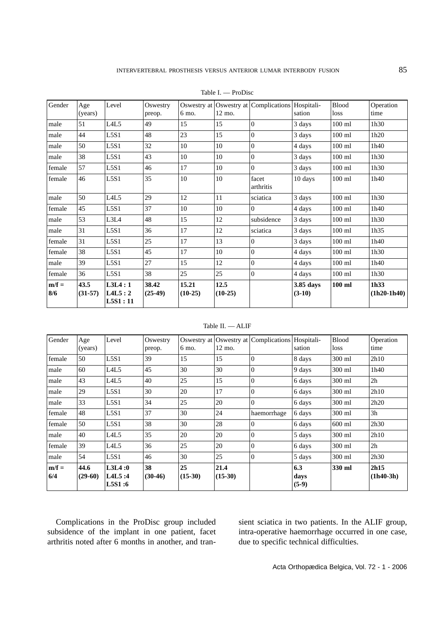| Gender         | Age               | Level                         | Oswestry           |                    |                   | Oswestry at Oswestry at Complications Hospitali- |                       | <b>Blood</b> | Operation             |
|----------------|-------------------|-------------------------------|--------------------|--------------------|-------------------|--------------------------------------------------|-----------------------|--------------|-----------------------|
|                | (years)           |                               | preop.             | 6 mo.              | 12 mo.            |                                                  | sation                | loss         | time                  |
| male           | 51                | L <sub>4</sub> L <sub>5</sub> | 49                 | 15                 | 15                | $\Omega$                                         | 3 days                | $100$ ml     | 1h30                  |
| male           | 44                | L5S1                          | 48                 | 23                 | 15                | $\Omega$                                         | 3 days                | $100$ ml     | 1h20                  |
| male           | 50                | L5S1                          | 32                 | 10                 | 10                | $\boldsymbol{0}$                                 | 4 days                | $100$ ml     | 1h40                  |
| male           | 38                | L5S1                          | 43                 | 10                 | 10                | $\Omega$                                         | 3 days                | $100$ ml     | 1h30                  |
| female         | 57                | L5S1                          | 46                 | 17                 | 10                | $\Omega$                                         | 3 days                | $100$ ml     | 1h30                  |
| female         | 46                | L5S1                          | 35                 | 10                 | $10\,$            | facet<br>arthritis                               | 10 days               | $100$ ml     | 1h40                  |
| male           | 50                | L <sub>4</sub> L <sub>5</sub> | 29                 | 12                 | 11                | sciatica                                         | 3 days                | $100$ ml     | 1h30                  |
| female         | 45                | L5S1                          | 37                 | 10                 | 10                | $\Omega$                                         | 4 days                | $100$ ml     | 1h40                  |
| male           | 53                | L3L4                          | 48                 | 15                 | 12                | subsidence                                       | 3 days                | $100$ ml     | 1h30                  |
| male           | 31                | L5S1                          | 36                 | 17                 | 12                | sciatica                                         | 3 days                | $100$ ml     | 1h35                  |
| female         | 31                | L5S1                          | 25                 | 17                 | 13                | $\Omega$                                         | 3 days                | $100$ ml     | 1h40                  |
| female         | 38                | L5S1                          | 45                 | 17                 | 10                | $\mathbf{0}$                                     | 4 days                | $100$ ml     | 1h30                  |
| male           | 39                | L5S1                          | 27                 | 15                 | 12                | $\mathbf{0}$                                     | 4 days                | $100$ ml     | 1h40                  |
| female         | 36                | L5S1                          | 38                 | 25                 | 25                | $\Omega$                                         | 4 days                | $100$ ml     | 1h30                  |
| $m/f =$<br>8/6 | 43.5<br>$(31-57)$ | L3L4:1<br>L4L5:2<br>LSS1:11   | 38.42<br>$(25-49)$ | 15.21<br>$(10-25)$ | 12.5<br>$(10-25)$ |                                                  | 3.85 days<br>$(3-10)$ | $100$ ml     | 1h33<br>$(1h20-1h40)$ |

Table I. — ProDisc

#### Table II. — ALIF

| Gender         | Age<br>(years)    | Level                      | Oswestry<br>preop. | 6 mo.           | 12 mo.            | Oswestry at Oswestry at Complications Hospitali- | sation                 | <b>Blood</b><br>loss | Operation<br>time   |
|----------------|-------------------|----------------------------|--------------------|-----------------|-------------------|--------------------------------------------------|------------------------|----------------------|---------------------|
| female         | 50                | L5S1                       | 39                 | 15              | 15                | $\theta$                                         | 8 days                 | 300 ml               | 2h10                |
| male           | 60                | L4L5                       | 45                 | 30              | 30                | $\theta$                                         | 9 days                 | 300 ml               | 1h40                |
| male           | 43                | L4L5                       | 40                 | 25              | 15                | $\theta$                                         | 6 days                 | 300 ml               | 2h                  |
| male           | 29                | L5S1                       | 30                 | 20              | 17                | $\overline{0}$                                   | 6 days                 | 300 ml               | 2h10                |
| male           | 33                | L5S1                       | 34                 | 25              | 20                | $\theta$                                         | 6 days                 | 300 ml               | 2h20                |
| female         | 48                | L5S1                       | 37                 | 30              | 24                | haemorrhage                                      | $6 \, \text{days}$     | 300 ml               | 3h                  |
| female         | 50                | L5S1                       | 38                 | 30              | 28                | $\Omega$                                         | 6 days                 | $600$ ml             | 2h30                |
| male           | 40                | L4L5                       | 35                 | 20              | 20                | $\theta$                                         | 5 days                 | 300 ml               | 2h10                |
| female         | 39                | L4L5                       | 36                 | 25              | 20                | $\overline{0}$                                   | 6 days                 | 300 ml               | 2h                  |
| male           | 54                | L5S1                       | 46                 | 30              | 25                | $\theta$                                         | 5 days                 | 300 ml               | 2h30                |
| $m/f =$<br>6/4 | 44.6<br>$(29-60)$ | L3L4:0<br>L4L5:4<br>L5S1:6 | 38<br>$(30-46)$    | 25<br>$(15-30)$ | 21.4<br>$(15-30)$ |                                                  | 6.3<br>days<br>$(5-9)$ | 330 ml               | 2h15<br>$(1h40-3h)$ |

Complications in the ProDisc group included subsidence of the implant in one patient, facet arthritis noted after 6 months in another, and tran-

sient sciatica in two patients. In the ALIF group, intra-operative haemorrhage occurred in one case, due to specific technical difficulties.

Acta Orthopædica Belgica, Vol. 72 - 1 - 2006